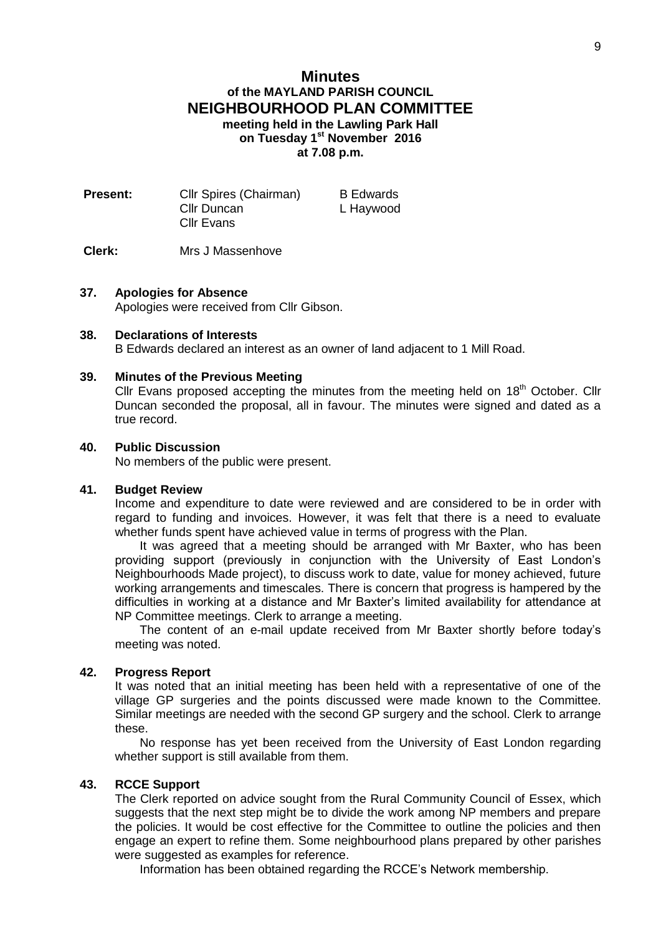# **Minutes of the MAYLAND PARISH COUNCIL NEIGHBOURHOOD PLAN COMMITTEE meeting held in the Lawling Park Hall on Tuesday 1 st November 2016 at 7.08 p.m.**

| <b>Present:</b> | Cllr Spires (Chairman) | <b>B</b> Edwards |
|-----------------|------------------------|------------------|
|                 | Cllr Duncan            | L Haywood        |
|                 | <b>Cllr Evans</b>      |                  |
|                 |                        |                  |

## **Clerk:** Mrs J Massenhove

## **37. Apologies for Absence**

Apologies were received from Cllr Gibson.

### **38. Declarations of Interests**

B Edwards declared an interest as an owner of land adjacent to 1 Mill Road.

#### **39. Minutes of the Previous Meeting**

Cllr Evans proposed accepting the minutes from the meeting held on  $18<sup>th</sup>$  October. Cllr Duncan seconded the proposal, all in favour. The minutes were signed and dated as a true record.

## **40. Public Discussion**

No members of the public were present.

#### **41. Budget Review**

Income and expenditure to date were reviewed and are considered to be in order with regard to funding and invoices. However, it was felt that there is a need to evaluate whether funds spent have achieved value in terms of progress with the Plan.

It was agreed that a meeting should be arranged with Mr Baxter, who has been providing support (previously in conjunction with the University of East London's Neighbourhoods Made project), to discuss work to date, value for money achieved, future working arrangements and timescales. There is concern that progress is hampered by the difficulties in working at a distance and Mr Baxter's limited availability for attendance at NP Committee meetings. Clerk to arrange a meeting.

The content of an e-mail update received from Mr Baxter shortly before today's meeting was noted.

#### **42. Progress Report**

It was noted that an initial meeting has been held with a representative of one of the village GP surgeries and the points discussed were made known to the Committee. Similar meetings are needed with the second GP surgery and the school. Clerk to arrange these.

No response has yet been received from the University of East London regarding whether support is still available from them.

# **43. RCCE Support**

The Clerk reported on advice sought from the Rural Community Council of Essex, which suggests that the next step might be to divide the work among NP members and prepare the policies. It would be cost effective for the Committee to outline the policies and then engage an expert to refine them. Some neighbourhood plans prepared by other parishes were suggested as examples for reference.

Information has been obtained regarding the RCCE's Network membership.